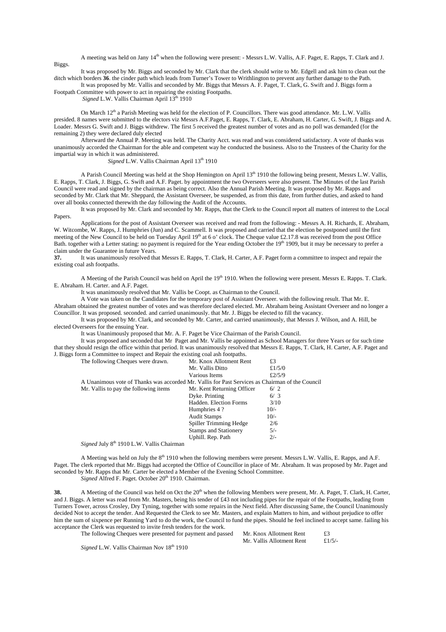A meeting was held on Jany 14<sup>th</sup> when the following were present: - Messrs L.W. Vallis, A.F. Paget, E. Rapps, T. Clark and J. Biggs.

It was proposed by Mr. Biggs and seconded by Mr. Clark that the clerk should write to Mr. Edgell and ask him to clean out the ditch which borders **36**. the cinder path which leads from Turner's Tower to Writhlington to prevent any further damage to the Path. It was proposed by Mr. Vallis and seconded by Mr. Biggs that Messrs A. F. Paget, T. Clark, G. Swift and J. Biggs form a

Footpath Committee with power to act in repairing the existing Footpaths.

*Signed* L.W. Vallis Chairman April 13<sup>th</sup> 1910

On March  $12<sup>th</sup>$  a Parish Meeting was held for the election of P. Councillors. There was good attendance. Mr. L.W. Vallis presided. 8 names were submitted to the electors viz Messrs A.F.Paget, E. Rapps, T. Clark, E. Abraham, H. Carter, G. Swift, J. Biggs and A. Loader. Messrs G. Swift and J. Biggs withdrew. The first 5 received the greatest number of votes and as no poll was demanded (for the remaining 2) they were declared duly elected

Afterward the Annual P. Meeting was held. The Charity Acct. was read and was considered satisfactory. A vote of thanks was unanimously accorded the Chairman for the able and competent way he conducted the business. Also to the Trustees of the Charity for the impartial way in which it was administered.

*Signed* L.W. Vallis Chairman April  $13<sup>th</sup> 1910$ 

A Parish Council Meeting was held at the Shop Hemington on April 13<sup>th</sup> 1910 the following being present, Messrs L.W. Vallis, E. Rapps, T. Clark, J. Biggs, G. Swift and A.F. Paget. by appointment the two Overseers were also present. The Minutes of the last Parish Council were read and signed by the chairman as being correct. Also the Annual Parish Meeting. It was proposed by Mr. Rapps and seconded by Mr. Clark that Mr. Sheppard, the Assistant Overseer, be suspended, as from this date, from further duties, and asked to hand over all books connected therewith the day following the Audit of the Accounts.

It was proposed by Mr. Clark and seconded by Mr. Rapps, that the Clerk to the Council report all matters of interest to the Local Papers.

Applications for the post of Assistant Overseer was received and read from the following: - Messrs A. H. Richards, E. Abraham, W. Witcombe, W. Rapps, J. Humphries (Jun) and C. Scammell. It was proposed and carried that the election be postponed until the first meeting of the New Council to be held on Tuesday April 19<sup>th</sup> at 6 o' clock. The Cheque value £2.17.8 was received from the post Office Bath. together with a Letter stating: no payment is required for the Year ending October the 19<sup>th</sup> 1909, but it may be necessary to prefer a claim under the Guarantee in future Years.<br>37. It was unanimously resolved that

**37.** It was unanimously resolved that Messrs E. Rapps, T. Clark, H. Carter, A.F. Paget form a committee to inspect and repair the existing coal ash footpaths.

A Meeting of the Parish Council was held on April the  $19<sup>th</sup> 1910$ . When the following were present. Messrs E. Rapps. T. Clark. E. Abraham. H. Carter. and A.F. Paget.

It was unanimously resolved that Mr. Vallis be Coopt. as Chairman to the Council.

A Vote was taken on the Candidates for the temporary post of Assistant Overseer. with the following result. That Mr. E. Abraham obtained the greatest number of votes and was therefore declared elected. Mr. Abraham being Assistant Overseer and no longer a Councillor. It was proposed. seconded. and carried unanimously. that Mr. J. Biggs be elected to fill the vacancy.

It was proposed by Mr. Clark, and seconded by Mr. Carter, and carried unanimously, that Messrs J. Wilson, and A. Hill, be elected Overseers for the ensuing Year.

It was Unanimously proposed that Mr. A. F. Paget be Vice Chairman of the Parish Council.

It was proposed and seconded that Mr Paget and Mr. Vallis be appointed as School Managers for three Years or for such time that they should resign the office within that period. It was unanimously resolved that Messrs E. Rapps, T. Clark, H. Carter, A.F. Paget and J. Biggs form a Committee to inspect and Repair the existing coal ash footpaths.

| The following Cheques were drawn.                                                               | Mr. Knox Allotment Rent      | £3        |
|-------------------------------------------------------------------------------------------------|------------------------------|-----------|
|                                                                                                 | Mr. Vallis Ditto             | £ $1/5/0$ |
|                                                                                                 | Various Items                | £ $2/5/9$ |
| A Unanimous vote of Thanks was accorded Mr. Vallis for Past Services as Chairman of the Council |                              |           |
| Mr. Vallis to pay the following items                                                           | Mr. Kent Returning Officer   | 6/2       |
|                                                                                                 | Dyke. Printing               | 6/3       |
|                                                                                                 | Hadden. Election Forms       | 3/10      |
|                                                                                                 | Humphries 4?                 | $10/-$    |
|                                                                                                 | <b>Audit Stamps</b>          | $10/-$    |
|                                                                                                 | Spiller Trimming Hedge       | 2/6       |
|                                                                                                 | <b>Stamps and Stationery</b> | $5/-$     |
|                                                                                                 | Uphill. Rep. Path            | $2/-$     |
| $a_1$ , $1 + 1$ , $a_1 + a_2 + a_3 + \cdots + a_n$                                              |                              |           |

*Signed* July 8<sup>th</sup> 1910 L.W. Vallis Chairman

A Meeting was held on July the 8<sup>th</sup> 1910 when the following members were present. Messrs L.W. Vallis, E. Rapps, and A.F. Paget. The clerk reported that Mr. Biggs had accepted the Office of Councillor in place of Mr. Abraham. It was proposed by Mr. Paget and seconded by Mr. Rapps that Mr. Carter be elected a Member of the Evening School Committee.

*Signed* Alfred F. Paget. October 20<sup>th</sup> 1910. Chairman.

**38.** A Meeting of the Council was held on Oct the 20<sup>th</sup> when the following Members were present, Mr. A. Paget, T. Clark, H. Carter, and J. Biggs. A letter was read from Mr. Masters, being his tender of £43 not including pipes for the repair of the Footpaths, leading from Turners Tower, across Crosley, Dry Tyning, together with some repairs in the Next field. After discussing Same, the Council Unanimously decided Not to accept the tender. And Requested the Clerk to see Mr. Masters, and explain Matters to him, and without prejudice to offer him the sum of sixpence per Running Yard to do the work, the Council to fund the pipes. Should he feel inclined to accept same. failing his acceptance the Clerk was requested to invite fresh tenders for the work.

The following Cheques were presented for payment and passed Mr. Knox Allotment Rent  $\text{\textsterling}3$ 

Mr. Vallis Allotment Rent £1/5/-

*Signed* L.W. Vallis Chairman Nov  $18<sup>th</sup> 1910$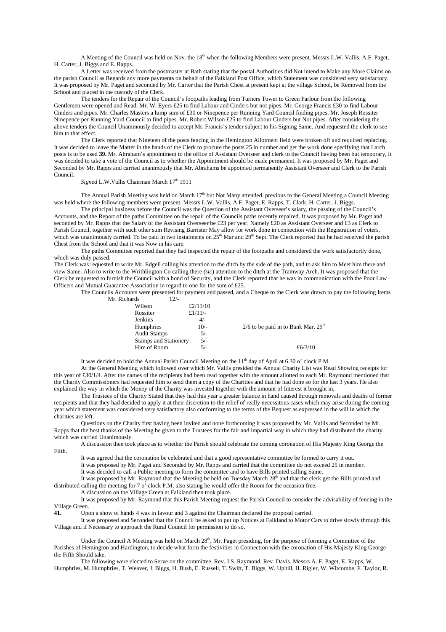A Meeting of the Council was held on Nov. the 18<sup>th</sup> when the following Members were present. Messrs L.W. Vallis, A.F. Paget, H. Carter, J. Biggs and E. Rapps.

A Letter was received from the postmaster at Bath stating that the postal Authorities did Not intend to Make any More Claims on the parish Council as Regards any more payments on behalf of the Falkland Post Office, which Statement was considered very satisfactory. It was proposed by Mr. Paget and seconded by Mr. Carter that the Parish Chest at present kept at the village School, be Removed from the School and placed in the custody of the Clerk.

The tenders for the Repair of the Council's footpaths leading from Turners Tower to Green Parlour from the following Gentlemen were opened and Read. Mr. W. Eyers £25 to find Labour and Cinders but not pipes. Mr. George Francis £30 to find Labour Cinders and pipes. Mr. Charles Masters a lump sum of £30 or Ninepence per Running Yard Council finding pipes. Mr. Joseph Rossiter Ninepence per Running Yard Council to find pipes. Mr. Robert Wilson £25 to find Labour Cinders but Not pipes. After considering the above tenders the Council Unanimously decided to accept Mr. Francis's tender subject to his Signing Same. And requested the clerk to see him to that effect.

The Clerk reported that Nineteen of the posts fencing in the Hemington Allotment field were broken off and required replacing. It was decided to leave the Matter in the hands of the Clerk to procure the posts 25 in number and get the work done specifying that Larch posts is to be used **39.** Mr. Abraham's appointment to the office of Assistant Overseer and clerk to the Council having been but temporary, it was decided to take a vote of the Council as to whether the Appointment should be made permanent. It was proposed by Mr. Paget and Seconded by Mr. Rapps and carried unanimously that Mr. Abrahams be appointed permanently Assistant Overseer and Clerk to the Parish Council.

*Signed* L.W. Vallis Chairman March 17<sup>th</sup> 1911

The Annual Parish Meeting was held on March  $17<sup>th</sup>$  but Not Many attended. previous to the General Meeting a Council Meeting was held where the following members were present. Messrs L.W. Vallis, A.F. Paget, E. Rapps, T. Clark, H. Carter, J. Biggs.

The principal business before the Council was the Question of the Assistant Overseer's salary, the passing of the Council's Accounts, and the Report of the paths Committee on the repair of the Councils paths recently repaired. It was proposed by Mr. Paget and seconded by Mr. Rapps that the Salary of the Assistant Overseer be £23 per year. Namely £20 as Assistant Overseer and £3 as Clerk to Parish Council, together with such other sum Revising Barrister May allow for work done in connection with the Registration of voters, which was unanimously carried. To be paid in two instalments on  $25<sup>th</sup>$  Mar and  $29<sup>th</sup>$  Sept. The Clerk reported that he had received the parish Chest from the School and that it was Now in his care.

The paths Committee reported that they had inspected the repair of the footpaths and considered the work satisfactorily done, which was duly passed.

The Clerk was requested to write Mr. Edgell calling his attention to the ditch by the side of the path, and to ask him to Meet him there and view Same. Also to write to the Writhlington Co calling there *(sic*) attention to the ditch at the Tramway Arch. It was proposed that the Clerk be requested to furnish the Council with a bond of Security, and the Clerk reported that he was in communication with the Poor Law Officers and Mutual Guarantee Association in regard to one for the sum of £25.

The Councils Accounts were presented for payment and passed, and a Cheque to the Clerk was drawn to pay the following Items Mr. Richards 12/-

| Wilson                       | £2/11/10  |                                         |
|------------------------------|-----------|-----------------------------------------|
| Rossiter                     | £ $1/11/$ |                                         |
| Jenkins                      | $4/-$     |                                         |
| Humphries                    | $10/-$    | $2/6$ to be paid in to Bank Mar. $29th$ |
| <b>Audit Stamps</b>          | $5/-$     |                                         |
| <b>Stamps and Stationery</b> | 5/-       |                                         |
| Hire of Room                 | $5/-$     | £6/3/10                                 |
|                              |           |                                         |

It was decided to hold the Annual Parish Council Meeting on the 11<sup>th</sup> day of April at 6.30 o' clock P.M.

At the General Meeting which followed over which Mr. Vallis presided the Annual Charity List was Read Showing receipts for this year of £30/1/4. After the names of the recipients had been read together with the amount allotted to each Mr. Raymond mentioned that the Charity Commissioners had requested him to send them a copy of the Charities and that he had done so for the last 3 years. He also explained the way in which the Money of the Charity was invested together with the amount of Interest it brought in,

The Trustees of the Charity Stated that they had this year a greater balance in hand caused through removals and deaths of former recipients and that they had decided to apply it at their discretion to the relief of really necessitous cases which may arise during the coming year which statement was considered very satisfactory also conforming to the terms of the Bequest as expressed in the will in which the charities are left.

Questions on the Charity first having been invited and none forthcoming it was proposed by Mr. Vallis and Seconded by Mr. Rapps that the best thanks of the Meeting be given to the Trustees for the fair and impartial way in which they had distributed the charity which was carried Unanimously.

A discussion then took place as to whether the Parish should celebrate the coming coronation of His Majesty King George the Fifth.

It was agreed that the coronation be celebrated and that a good representative committee be formed to carry it out.

It was proposed by Mr. Paget and Seconded by Mr. Rapps and carried that the committee do not exceed 25 in number.

It was decided to call a Public meeting to form the committee and to have Bills printed calling Same.

It was proposed by Mr. Raymond that the Meeting be held on Tuesday March 28<sup>th</sup> and that the clerk get the Bills printed and distributed calling the meeting for 7 o' clock P.M. also stating he would offer the Room for the occasion free.

A discussion on the Village Green at Falkland then took place.

It was proposed by Mr. Raymond that this Parish Meeting request the Parish Council to consider the advisability of fencing in the Village Green.

**41.** Upon a show of hands 4 was in favour and 3 against the Chairman declared the proposal carried.

It was proposed and Seconded that the Council be asked to put up Notices at Falkland to Motor Cars to drive slowly through this Village and if Necessary to approach the Rural Council for permission to do so.

Under the Council A Meeting was held on March 28<sup>th</sup>, Mr. Paget presiding, for the purpose of forming a Committee of the Parishes of Hemington and Hardington, to decide what form the festivities in Connection with the coronation of His Majesty King George the Fifth Should take.

The following were elected to Serve on the committee. Rev. J.S. Raymond. Rev. Davis. Messrs A. F. Paget, E. Rapps, W. Humphries, M. Humphries, T. Weaver, J. Biggs, H. Bush, E. Russell, T. Swift, T. Biggs, W. Uphill, H. Rigler, W. Witcombe, F. Taylor, R.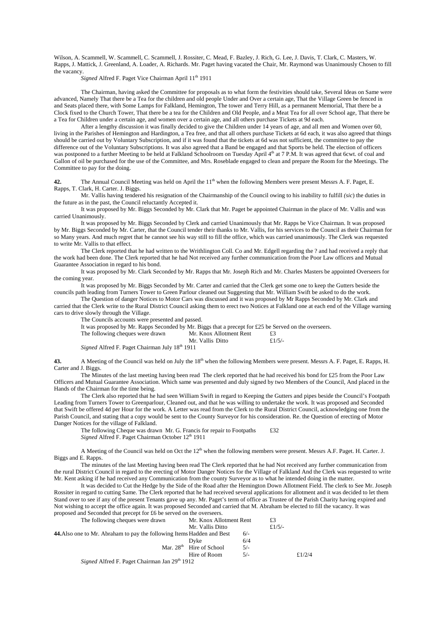Wilson, A. Scammell, W. Scammell, C. Scammell, J. Rossiter, C. Mead, F. Bazley, J. Rich, G. Lee, J. Davis, T. Clark, C. Masters, W. Rapps, J. Mattick, J. Greenland, A. Loader, A. Richards. Mr. Paget having vacated the Chair, Mr. Raymond was Unanimously Chosen to fill the vacancy.

*Signed* Alfred F. Paget Vice Chairman April 11<sup>th</sup> 1911

The Chairman, having asked the Committee for proposals as to what form the festivities should take, Several Ideas on Same were advanced, Namely That there be a Tea for the children and old people Under and Over a certain age, That the Village Green be fenced in and Seats placed there, with Some Lamps for Falkland, Hemington, The tower and Terry Hill, as a permanent Memorial, That there be a Clock fixed to the Church Tower, That there be a tea for the Children and Old People, and a Meat Tea for all over School age, That there be a Tea for Children under a certain age, and women over a certain age, and all others purchase Tickets at 9d each.

After a lengthy discussion it was finally decided to give the Children under 14 years of age, and all men and Women over 60, living in the Parishes of Hemington and Hardington, a Tea free, and that all others purchase Tickets at 6d each, it was also agreed that things should be carried out by Voluntary Subscription, and if it was found that the tickets at 6d was not sufficient, the committee to pay the difference out of the Voluntary Subscriptions. It was also agreed that a Band be engaged and that Sports be held. The election of officers was postponed to a further Meeting to be held at Falkland Schoolroom on Tuesday April 4<sup>th</sup> at 7 P.M. It was agreed that 6cwt, of coal and Gallon of oil be purchased for the use of the Committee, and Mrs. Roseblade engaged to clean and prepare the Room for the Meetings. The Committee to pay for the doing.

**42.** The Annual Council Meeting was held on April the 11<sup>th</sup> when the following Members were present Messrs A. F. Paget, E. Rapps, T. Clark, H. Carter. J. Biggs.

Mr. Vallis having tendered his resignation of the Chairmanship of the Council owing to his inability to fulfill *(sic*) the duties in the future as in the past, the Council reluctantly Accepted it.

It was proposed by Mr. Biggs Seconded by Mr. Clark that Mr. Paget be appointed Chairman in the place of Mr. Vallis and was carried Unanimously.

It was proposed by Mr. Biggs Seconded by Clerk and carried Unanimously that Mr. Rapps be Vice Chairman. It was proposed by Mr. Biggs Seconded by Mr. Carter, that the Council tender their thanks to Mr. Vallis, for his services to the Council as their Chairman for so Many years. And much regret that he cannot see his way still to fill the office, which was carried unanimously. The Clerk was requested to write Mr. Vallis to that effect.

The Clerk reported that he had written to the Writhlington Coll. Co and Mr. Edgell regarding the ? and had received a reply that the work had been done. The Clerk reported that he had Not received any further communication from the Poor Law officers and Mutual Guarantee Association in regard to his bond.

It was proposed by Mr. Clark Seconded by Mr. Rapps that Mr. Joseph Rich and Mr. Charles Masters be appointed Overseers for the coming year.

It was proposed by Mr. Biggs Seconded by Mr. Carter and carried that the Clerk get some one to keep the Gutters beside the councils path leading from Turners Tower to Green Parlour cleaned out Suggesting that Mr. William Swift be asked to do the work.

The Question of danger Notices to Motor Cars was discussed and it was proposed by Mr Rapps Seconded by Mr. Clark and carried that the Clerk write to the Rural District Council asking them to erect two Notices at Falkland one at each end of the Village warning cars to drive slowly through the Village.

The Councils accounts were presented and passed.

It was proposed by Mr. Rapps Seconded by Mr. Biggs that a precept for £25 be Served on the overseers.<br>The following cheques were drawn Mr. Knox Allotment Rent  $\qquad 23$ 

The following cheques were drawn Mr. Knox Allotment Rent  $\text{£3}$ <br>Mr. Vallis Ditto  $\text{£1/5/2}$ Mr. Vallis Ditto

*Signed* Alfred F. Paget Chairman July  $18<sup>th</sup> 1911$ 

**43.** A Meeting of the Council was held on July the 18<sup>th</sup> when the following Members were present. Messrs A. F. Paget, E. Rapps, H. Carter and J. Biggs.

The Minutes of the last meeting having been read The clerk reported that he had received his bond for £25 from the Poor Law Officers and Mutual Guarantee Association. Which same was presented and duly signed by two Members of the Council, And placed in the Hands of the Chairman for the time being.

The Clerk also reported that he had seen William Swift in regard to Keeping the Gutters and pipes beside the Council's Footpath Leading from Turners Tower to Greenparlour, Cleaned out, and that he was willing to undertake the work. It was proposed and Seconded that Swift be offered 4d per Hour for the work. A Letter was read from the Clerk to the Rural District Council, acknowledging one from the Parish Council, and stating that a copy would be sent to the County Surveyor for his consideration. Re. the Question of erecting of Motor Danger Notices for the village of Falkland.

The following Cheque was drawn Mr. G. Francis for repair to Footpaths  $£32$ Signed Alfred F. Paget Chairman October 12<sup>th</sup> 1911

A Meeting of the Council was held on Oct the 12<sup>th</sup> when the following members were present. Messrs A.F. Paget. H. Carter. J. Biggs and E. Rapps.

The minutes of the last Meeting having been read The Clerk reported that he had Not received any further communication from the rural District Council in regard to the erecting of Motor Danger Notices for the Village of Falkland And the Clerk was requested to write Mr. Kent asking if he had received any Communication from the county Surveyor as to what he intended doing in the matter.

It was decided to Cut the Hedge by the Side of the Road after the Hemington Down Allotment Field. The clerk to See Mr. Joseph Rossiter in regard to cutting Same. The Clerk reported that he had received several applications for allotment and it was decided to let them Stand over to see if any of the present Tenants gave up any. Mr. Paget's term of office as Trustee of the Parish Charity having expired and Not wishing to accept the office again. It was proposed Seconded and carried that M. Abraham be elected to fill the vacancy. It was proposed and Seconded that precept for £6 be served on the overseers.

| The following cheques were drawn                                       | Mr. Knox Allotment Rent    |       | £3        |           |
|------------------------------------------------------------------------|----------------------------|-------|-----------|-----------|
|                                                                        | Mr. Vallis Ditto           |       | £ $1/5/-$ |           |
| 44. Also one to Mr. Abraham to pay the following Items Hadden and Best |                            | $6/-$ |           |           |
|                                                                        | Dyke                       | 6/4   |           |           |
|                                                                        | Mar. $28th$ Hire of School | $5/-$ |           |           |
|                                                                        | Hire of Room               | $5/-$ |           | £ $1/2/4$ |
| Signed Alfred F. Paget Chairman Ian 29 <sup>th</sup> 1912              |                            |       |           |           |

*Signed* Alfred F. Paget Chairman Jan 29<sup>th</sup> 1912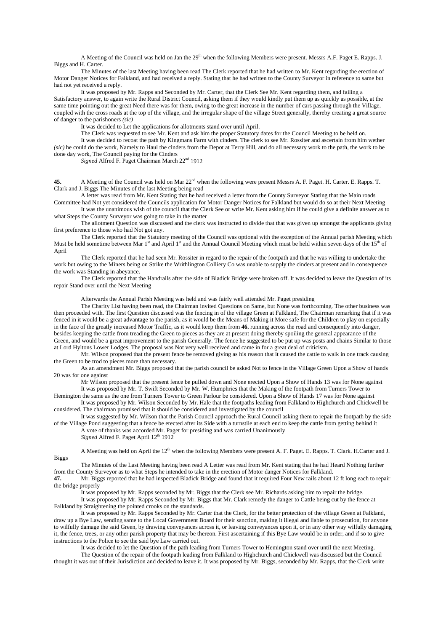A Meeting of the Council was held on Jan the 29<sup>th</sup> when the following Members were present. Messrs A.F. Paget E. Rapps. J. Biggs and H. Carter.

The Minutes of the last Meeting having been read The Clerk reported that he had written to Mr. Kent regarding the erection of Motor Danger Notices for Falkland, and had received a reply. Stating that he had written to the County Surveyor in reference to same but had not yet received a reply.

It was proposed by Mr. Rapps and Seconded by Mr. Carter, that the Clerk See Mr. Kent regarding them, and failing a Satisfactory answer, to again write the Rural District Council, asking them if they would kindly put them up as quickly as possible, at the same time pointing out the great Need there was for them, owing to the great increase in the number of cars passing through the Village, coupled with the cross roads at the top of the village, and the irregular shape of the village Street generally, thereby creating a great source of danger to the parishoners *(sic)*

It was decided to Let the applications for allotments stand over until April.

The Clerk was requested to see Mr. Kent and ask him the proper Statutory dates for the Council Meeting to be held on.

It was decided to recoat the path by Kingmans Farm with cinders. The clerk to see Mr. Rossiter and ascertain from him wether *(sic)* he could do the work, Namely to Haul the cinders from the Depot at Terry Hill, and do all necessary work to the path, the work to be done day work, The Council paying for the Cinders

*Signed* Alfred F. Paget Chairman March 22nd 1912

**45.** A Meeting of the Council was held on Mar  $22<sup>nd</sup>$  when the following were present Messrs A. F. Paget. H. Carter. E. Rapps. T. Clark and J. Biggs The Minutes of the last Meeting being read

A letter was read from Mr. Kent Stating that he had received a letter from the County Surveyor Stating that the Main roads Committee had Not yet considered the Councils application for Motor Danger Notices for Falkland but would do so at their Next Meeting

It was the unanimous wish of the council that the Clerk See or write Mr. Kent asking him if he could give a definite answer as to what Steps the County Surveyor was going to take in the matter

The allotment Question was discussed and the clerk was instructed to divide that that was given up amongst the applicants giving first preference to those who had Not got any.

The Clerk reported that the Statutory meeting of the Council was optional with the exception of the Annual parish Meeting which Must be held sometime between Mar  $1<sup>st</sup>$  and April  $1<sup>st</sup>$  and the Annual Council Meeting which must be held within seven days of the  $15<sup>th</sup>$  of April

The Clerk reported that he had seen Mr. Rossiter in regard to the repair of the footpath and that he was willing to undertake the work but owing to the Miners being on Strike the Writhlington Colliery Co was unable to supply the cinders at present and in consequence the work was Standing in abeyance.

The Clerk reported that the Handrails after the side of Bladick Bridge were broken off. It was decided to leave the Question of its repair Stand over until the Next Meeting

Afterwards the Annual Parish Meeting was held and was fairly well attended Mr. Paget presiding

The Charity List having been read, the Chairman invited Questions on Same, but None was forthcoming. The other business was then proceeded with. The first Question discussed was the fencing in of the village Green at Falkland, The Chairman remarking that if it was fenced in it would be a great advantage to the parish, as it would be the Means of Making it More safe for the Children to play on especially in the face of the greatly increased Motor Traffic, as it would keep them from **46.** running across the road and consequently into danger, besides keeping the cattle from treading the Green to pieces as they are at present doing thereby spoiling the general appearance of the Green, and would be a great improvement to the parish Generally. The fence he suggested to be put up was posts and chains Similar to those at Lord Hyltons Lower Lodges. The proposal was Not very well received and came in for a great deal of criticism.

Mr. Wilson proposed that the present fence be removed giving as his reason that it caused the cattle to walk in one track causing the Green to be trod to pieces more than necessary.

As an amendment Mr. Biggs proposed that the parish council be asked Not to fence in the Village Green Upon a Show of hands 20 was for one against

Mr Wilson proposed that the present fence be pulled down and None erected Upon a Show of Hands 13 was for None against It was proposed by Mr. T. Swift Seconded by Mr. W. Humphries that the Making of the footpath from Turners Tower to

Hemington the same as the one from Turners Tower to Green Parlour be considered. Upon a Show of Hands 17 was for None against

It was proposed by Mr. Wilson Seconded by Mr. Hale that the footpaths leading from Falkland to Highchurch and Chickwell be considered. The chairman promised that it should be considered and investigated by the council

It was suggested by Mr. Wilson that the Parish Council approach the Rural Council asking them to repair the footpath by the side of the Village Pond suggesting that a fence be erected after its Side with a turnstile at each end to keep the cattle from getting behind it A vote of thanks was accorded Mr. Paget for presiding and was carried Unanimously *Signed* Alfred F. Paget April 12<sup>th</sup> 1912

A Meeting was held on April the  $12<sup>th</sup>$  when the following Members were present A. F. Paget. E. Rapps. T. Clark. H.Carter and J. **Biggs** 

The Minutes of the Last Meeting having been read A Letter was read from Mr. Kent stating that he had Heard Nothing further from the County Surveyor as to what Steps he intended to take in the erection of Motor danger Notices for Falkland.

**47.** Mr. Biggs reported that he had inspected Bladick Bridge and found that it required Four New rails about 12 ft long each to repair the bridge properly

It was proposed by Mr. Rapps seconded by Mr. Biggs that the Clerk see Mr. Richards asking him to repair the bridge.

It was proposed by Mr. Rapps Seconded by Mr. Biggs that Mr. Clark remedy the danger to Cattle being cut by the fence at Falkland by Straightening the pointed crooks on the standards.

It was proposed by Mr. Rapps Seconded by Mr. Carter that the Clerk, for the better protection of the village Green at Falkland, draw up a Bye Law, sending same to the Local Government Board for their sanction, making it illegal and liable to prosecution, for anyone to wilfully damage the said Green, by drawing conveyances across it, or leaving conveyances upon it, or in any other way wilfully damaging it, the fence, trees, or any other parish property that may be thereon. First ascertaining if this Bye Law would be in order, and if so to give instructions to the Police to see the said bye Law carried out.

It was decided to let the Question of the path leading from Turners Tower to Hemington stand over until the next Meeting.

The Question of the repair of the footpath leading from Falkland to Highchurch and Chickwell was discussed but the Council thought it was out of their Jurisdiction and decided to leave it. It was proposed by Mr. Biggs, seconded by Mr. Rapps, that the Clerk write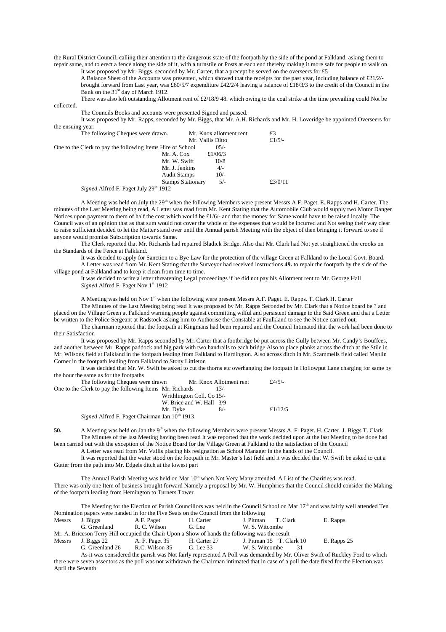the Rural District Council, calling their attention to the dangerous state of the footpath by the side of the pond at Falkland, asking them to repair same, and to erect a fence along the side of it, with a turnstile or Posts at each end thereby making it more safe for people to walk on.

It was proposed by Mr. Biggs, seconded by Mr. Carter, that a precept be served on the overseers for £5

A Balance Sheet of the Accounts was presented, which showed that the receipts for the past year, including balance of £21/2/ brought forward from Last year, was £60/5/7 expenditure £42/2/4 leaving a balance of £18/3/3 to the credit of the Council in the Bank on the 31<sup>st</sup> day of March 1912.

There was also left outstanding Allotment rent of  $\text{\textsterling}2/18/9$  48. which owing to the coal strike at the time prevailing could Not be

The Councils Books and accounts were presented Signed and passed.

collected.

It was proposed by Mr. Rapps, seconded by Mr. Biggs, that Mr. A.H. Richards and Mr. H. Loveridge be appointed Overseers for the ensuing year.

| The following Cheques were drawn.                          |                          | Mr. Knox allotment rent | £3        |
|------------------------------------------------------------|--------------------------|-------------------------|-----------|
|                                                            | Mr. Vallis Ditto         |                         | £ $1/5/-$ |
| One to the Clerk to pay the following Items Hire of School |                          | $0.5/-$                 |           |
| Mr. A. Cox                                                 |                          | £ $1/06/3$              |           |
|                                                            | Mr. W. Swift             | 10/8                    |           |
|                                                            | Mr. J. Jenkins           | $4/-$                   |           |
|                                                            | <b>Audit Stamps</b>      | $10/-$                  |           |
|                                                            | <b>Stamps Stationary</b> | $5/-$                   | £3/0/11   |
| Signed Alfred F. Paget July 29 <sup>th</sup> 1912          |                          |                         |           |

A Meeting was held on July the  $29<sup>th</sup>$  when the following Members were present Messrs A.F. Paget. E. Rapps and H. Carter. The minutes of the Last Meeting being read, A Letter was read from Mr. Kent Stating that the Automobile Club would supply two Motor Danger Notices upon payment to them of half the cost which would be £1/6/- and that the money for Same would have to be raised locally. The Council was of an opinion that as that sum would not cover the whole of the expenses that would be incurred and Not seeing their way clear to raise sufficient decided to let the Matter stand over until the Annual parish Meeting with the object of then bringing it forward to see if anyone would promise Subscription towards Same.

The Clerk reported that Mr. Richards had repaired Bladick Bridge. Also that Mr. Clark had Not yet straightened the crooks on the Standards of the Fence at Falkland.

It was decided to apply for Sanction to a Bye Law for the protection of the village Green at Falkland to the Local Govt. Board. A Letter was read from Mr. Kent Stating that the Surveyor had received instructions **49.** to repair the footpath by the side of the village pond at Falkland and to keep it clean from time to time.

It was decided to write a letter threatening Legal proceedings if he did not pay his Allotment rent to Mr. George Hall *Signed* Alfred F. Paget Nov 1<sup>st</sup> 1912

A Meeting was held on Nov 1<sup>st</sup> when the following were present Messrs A.F. Paget. E. Rapps. T. Clark H. Carter

The Minutes of the Last Meeting being read It was proposed by Mr. Rapps Seconded by Mr. Clark that a Notice board be ? and placed on the Village Green at Falkland warning people against committing wilful and persistent damage to the Said Green and that a Letter be written to the Police Sergeant at Radstock asking him to Authorise the Constable at Faulkland to see the Notice carried out.

The chairman reported that the footpath at Kingmans had been repaired and the Council Intimated that the work had been done to their Satisfaction

It was proposed by Mr. Rapps seconded by Mr. Carter that a footbridge be put across the Gully between Mr. Candy's Bouffees, and another between Mr. Rapps paddock and big park with two handrails to each bridge Also to place planks across the ditch at the Stile in Mr. Wilsons field at Falkland in the footpath leading from Falkland to Hardington. Also across ditch in Mr. Scammells field called Maplin Corner in the footpath leading from Falkland to Stony Littleton

It was decided that Mr. W. Swift be asked to cut the thorns etc overhanging the footpath in Hollowput Lane charging for same by the hour the same as for the footpaths

| The following Cheques were drawn                          |                            | Mr. Knox Allotment rent | £4/5/-     |
|-----------------------------------------------------------|----------------------------|-------------------------|------------|
| One to the Clerk to pay the following Items Mr. Richards  |                            | $13/-$                  |            |
|                                                           | Writhlington Coll. Co 15/- |                         |            |
|                                                           | W. Brice and W. Hall 3/9   |                         |            |
|                                                           | Mr. Dvke                   | $8/-$                   | £ $1/12/5$ |
| Sianed Alfred E. Paget Chairman Ian 10 <sup>th</sup> 1913 |                            |                         |            |

*Signed* Alfred F. Paget Chairman Jan 10<sup>th</sup> 1913

**50.** A Meeting was held on Jan the 9<sup>th</sup> when the following Members were present Messrs A. F. Paget. H. Carter. J. Biggs T. Clark The Minutes of the last Meeting having been read It was reported that the work decided upon at the last Meeting to be done had been carried out with the exception of the Notice Board for the Village Green at Falkland to the satisfaction of the Council

A Letter was read from Mr. Vallis placing his resignation as School Manager in the hands of the Council.

It was reported that the water stood on the footpath in Mr. Master's last field and it was decided that W. Swift be asked to cut a Gutter from the path into Mr. Edgels ditch at the lowest part

The Annual Parish Meeting was held on Mar  $10<sup>th</sup>$  when Not Very Many attended. A List of the Charities was read. There was only one Item of business brought forward Namely a proposal by Mr. W. Humphries that the Council should consider the Making of the footpath leading from Hemington to Turners Tower.

The Meeting for the Election of Parish Councillors was held in the Council School on Mar  $17<sup>th</sup>$  and was fairly well attended Ten Nomination papers were handed in for the Five Seats on the Council from the following<br>Mess<br>Lating the Riggs of the Paper in Corter Lating Lating the Seats of the Seats of the Seats of the Seats of the Seats of the Seats o

| <b>Messrs</b> | J. Biggs        | A.F. Paget                                                                                      | H. Carter    | J. Pitman<br>T. Clark    | E. Rapps    |
|---------------|-----------------|-------------------------------------------------------------------------------------------------|--------------|--------------------------|-------------|
|               | G. Greenland    | R. C. Wilson                                                                                    | G. Lee       | W. S. Witcombe           |             |
|               |                 | Mr. A. Briceson Terry Hill occupied the Chair Upon a Show of hands the following was the result |              |                          |             |
| Messrs        | J. Biggs 22     | A. F. Paget 35                                                                                  | H. Carter 27 | J. Pitman 15 T. Clark 10 | E. Rapps 25 |
|               | G. Greenland 26 | R.C. Wilson 35                                                                                  | G. Lee 33    | W. S. Witcombe<br>31     |             |

As it was considered the parish was Not fairly represented A Poll was demanded by Mr. Oliver Swift of Ruckley Ford to which there were seven assentors as the poll was not withdrawn the Chairman intimated that in case of a poll the date fixed for the Election was April the Seventh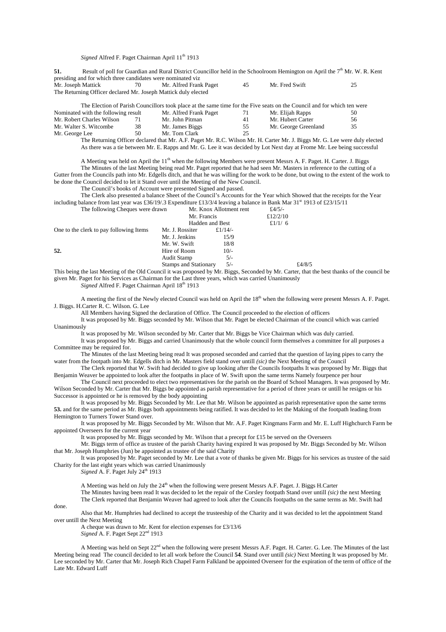*Signed* Alfred F. Paget Chairman April 11<sup>th</sup> 1913

**51.** Result of poll for Guardian and Rural District Councillor held in the Schoolroom Hemington on April the 7<sup>th</sup> Mr. W. R. Kent presiding and for which three candidates were nominated viz<br>Mr. Joseph Mattick 70 Mr. Alfred Frank 70 Mr. Alfred Frank Paget 45 Mr. Fred Swift 25 The Returning Officer declared Mr. Joseph Mattick duly elected

|                                     |    |                        |    | The Election of Parish Councillors took place at the same time for the Five seats on the Council and for which ten were |    |
|-------------------------------------|----|------------------------|----|-------------------------------------------------------------------------------------------------------------------------|----|
| Nominated with the following result |    | Mr. Alfred Frank Paget | 71 | Mr. Elijah Rapps                                                                                                        | 50 |
| Mr. Robert Charles Wilson           | 71 | Mr. John Pitman        | 41 | Mr. Hubert Carter                                                                                                       | 56 |
| Mr. Walter S. Witcombe              | 38 | Mr. James Biggs        | 55 | Mr. George Greenland                                                                                                    | 35 |
| Mr. George Lee                      | 50 | Mr. Tom Clark          | 25 |                                                                                                                         |    |
|                                     |    |                        |    | The Returning Officer declared that Mr. A E. Paget Mr. R.C. Wilson Mr. H. Carter Mr. J. Riggs Mr. G. Lee were duly e    |    |

Mr. R.C. Wilson Mr. H. Carter Mr. J. Biggs Mr. G. Lee were duly elected As there was a tie between Mr. E. Rapps and Mr. G. Lee it was decided by Lot Next day at Frome Mr. Lee being successful

A Meeting was held on April the 11<sup>th</sup> when the following Members were present Messrs A. F. Paget. H. Carter. J. Biggs The Minutes of the last Meeting being read Mr. Paget reported that he had seen Mr. Masters in reference to the cutting of a Gutter from the Councils path into Mr. Edgells ditch, and that he was willing for the work to be done, but owing to the extent of the work to be done the Council decided to let it Stand over until the Meeting of the New Council.

The Council's books of Account were presented Signed and passed.

The Clerk also presented a balance Sheet of the Council's Accounts for the Year which Showed that the receipts for the Year including balance from last year was £36/19/.3 Expenditure £13/3/4 leaving a balance in Bank Mar 31<sup>st</sup> 1913 of £23/15/11

| The following Cheques were drawn        |                              | Mr. Knox Allotment rent<br>Mr. Francis |           |        |
|-----------------------------------------|------------------------------|----------------------------------------|-----------|--------|
|                                         |                              |                                        |           |        |
|                                         |                              | Hadden and Best                        | £ $1/1/6$ |        |
| One to the clerk to pay following Items | Mr. J. Rossiter              | £ $1/14/$                              |           |        |
|                                         | Mr. J. Jenkins               | 15/9                                   |           |        |
|                                         | Mr. W. Swift                 | 18/8                                   |           |        |
| 52.                                     | Hire of Room                 | $10/-$                                 |           |        |
|                                         | Audit Stamp                  | $5/-$                                  |           |        |
|                                         | <b>Stamps and Stationary</b> | $5/-$                                  |           | £4/8/5 |

This being the last Meeting of the Old Council it was proposed by Mr. Biggs, Seconded by Mr. Carter, that the best thanks of the council be given Mr. Paget for his Services as Chairman for the Last three years, which was carried Unanimously

*Signed* Alfred F. Paget Chairman April 18th 1913

A meeting the first of the Newly elected Council was held on April the 18th when the following were present Messrs A. F. Paget. J. Biggs. H.Carter R. C. Wilson. G. Lee

All Members having Signed the declaration of Office. The Council proceeded to the election of officers

It was proposed by Mr. Biggs seconded by Mr. Wilson that Mr. Paget be elected Chairman of the council which was carried Unanimously

It was proposed by Mr. Wilson seconded by Mr. Carter that Mr. Biggs be Vice Chairman which was duly carried.

It was proposed by Mr. Biggs and carried Unanimously that the whole council form themselves a committee for all purposes a Committee may be required for.

The Minutes of the last Meeting being read It was proposed seconded and carried that the question of laying pipes to carry the water from the footpath into Mr. Edgells ditch in Mr. Masters field stand over untill *(sic)* the Next Meeting of the Council

The Clerk reported that W. Swift had decided to give up looking after the Councils footpaths It was proposed by Mr. Biggs that Benjamin Weaver be appointed to look after the footpaths in place of W. Swift upon the same terms Namely fourpence per hour

The Council next proceeded to elect two representatives for the parish on the Board of School Managers. It was proposed by Mr. Wilson Seconded by Mr. Carter that Mr. Biggs be appointed as parish representative for a period of three years or untill he resigns or his Successor is appointed or he is removed by the body appointing

It was proposed by Mr. Biggs Seconded by Mr. Lee that Mr. Wilson be appointed as parish representative upon the same terms **53.** and for the same period as Mr. Biggs both appointments being ratified. It was decided to let the Making of the footpath leading from Hemington to Turners Tower Stand over.

It was proposed by Mr. Biggs Seconded by Mr. Wilson that Mr. A.F. Paget Kingmans Farm and Mr. E. Luff Highchurch Farm be appointed Overseers for the current year

It was proposed by Mr. Biggs seconded by Mr. Wilson that a precept for £15 be served on the Overseers

Mr. Biggs term of office as trustee of the parish Charity having expired It was proposed by Mr. Biggs Seconded by Mr. Wilson that Mr. Joseph Humphries (Jun) be appointed as trustee of the said Charity

It was proposed by Mr. Paget seconded by Mr. Lee that a vote of thanks be given Mr. Biggs for his services as trustee of the said Charity for the last eight years which was carried Unanimously

*Signed* A. F. Paget July 24<sup>th</sup> 1913

A Meeting was held on July the 24<sup>th</sup> when the following were present Messrs A.F. Paget. J. Biggs H.Carter The Minutes having been read It was decided to let the repair of the Corsley footpath Stand over untill *(sic)* the next Meeting The Clerk reported that Benjamin Weaver had agreed to look after the Councils footpaths on the same terms as Mr. Swift had

done.

Also that Mr. Humphries had declined to accept the trusteeship of the Charity and it was decided to let the appointment Stand over untill the Next Meeting

A cheque was drawn to Mr. Kent for election expenses for £3/13/6 *Signed* A. F. Paget Sept 22<sup>nd</sup> 1913

A Meeting was held on Sept 22<sup>nd</sup> when the following were present Messrs A.F. Paget. H. Carter. G. Lee. The Minutes of the last Meeting being read The council decided to let all work before the Council **54**. Stand over untill *(sic)* Next Meeting It was proposed by Mr. Lee seconded by Mr. Carter that Mr. Joseph Rich Chapel Farm Falkland be appointed Overseer for the expiration of the term of office of the Late Mr. Edward Luff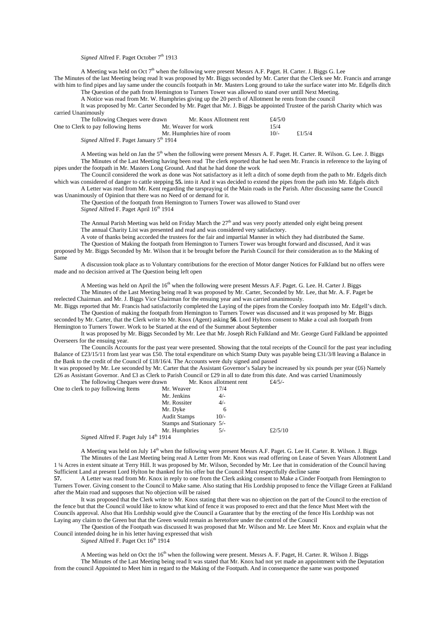## *Signed* Alfred F. Paget October 7<sup>th</sup> 1913

A Meeting was held on Oct 7<sup>th</sup> when the following were present Messrs A.F. Paget. H. Carter. J. Biggs G. Lee

The Minutes of the last Meeting being read It was proposed by Mr. Biggs seconded by Mr. Carter that the Clerk see Mr. Francis and arrange with him to find pipes and lay same under the councils footpath in Mr. Masters Long ground to take the surface water into Mr. Edgells ditch The Question of the path from Hemington to Turners Tower was allowed to stand over untill Next Meeting.

A Notice was read from Mr. W. Humphries giving up the 20 perch of Allotment he rents from the council

It was proposed by Mr. Carter Seconded by Mr. Paget that Mr. J. Biggs be appointed Trustee of the parish Charity which was carried Unanimously

| The following Cheques were drawn                                | Mr. Knox Allotment rent    | £4/5/0 |           |
|-----------------------------------------------------------------|----------------------------|--------|-----------|
| One to Clerk to pay following Items                             | Mr. Weaver for work        | 15/4   |           |
|                                                                 | Mr. Humphries hire of room | $10/-$ | £ $1/5/4$ |
| $\mathbf{G}$ Coned Alfred E. Doget Issuery $5^{\text{th}}$ 1014 |                            |        |           |

*Signed* Alfred F. Paget January 5<sup>th</sup> 1914

A Meeting was held on Jan the 5<sup>th</sup> when the following were present Messrs A. F. Paget. H. Carter. R. Wilson. G. Lee. J. Biggs The Minutes of the Last Meeting having been read The clerk reported that he had seen Mr. Francis in reference to the laying of pipes under the footpath in Mr. Masters Long Ground. And that he had done the work

The Council considered the work as done was Not satisfactory as it left a ditch of some depth from the path to Mr. Edgels ditch which was considered of danger to cattle stepping **55.** into it And it was decided to extend the pipes from the path into Mr. Edgels ditch

A Letter was read from Mr. Kent regarding the tarspraying of the Main roads in the Parish. After discussing same the Council was Unanimously of Opinion that there was no Need of or demand for it.

The Question of the footpath from Hemington to Turners Tower was allowed to Stand over

*Signed* Alfred F. Paget April 16<sup>th</sup> 1914

The Annual Parish Meeting was held on Friday March the  $27<sup>th</sup>$  and was very poorly attended only eight being present The annual Charity List was presented and read and was considered very satisfactory.

A vote of thanks being accorded the trustees for the fair and impartial Manner in which they had distributed the Same.

The Question of Making the footpath from Hemington to Turners Tower was brought forward and discussed, And it was proposed by Mr. Biggs Seconded by Mr. Wilson that it be brought before the Parish Council for their consideration as to the Making of Same

A discussion took place as to Voluntary contributions for the erection of Motor danger Notices for Falkland but no offers were made and no decision arrived at The Question being left open

A Meeting was held on April the 16<sup>th</sup> when the following were present Messrs A.F. Paget. G. Lee. H. Carter J. Biggs The Minutes of the Last Meeting being read It was proposed by Mr. Carter, Seconded by Mr. Lee, that Mr. A. F. Paget be reelected Chairman. and Mr. J. Biggs Vice Chairman for the ensuing year and was carried unanimously.

Mr. Biggs reported that Mr. Francis had satisfactorily completed the Laying of the pipes from the Corsley footpath into Mr. Edgell's ditch. The Question of making the footpath from Hemington to Turners Tower was discussed and it was proposed by Mr. Biggs

seconded by Mr. Carter, that the Clerk write to Mr. Knox (Agent) asking **56**. Lord Hyltons consent to Make a coal ash footpath from Hemington to Turners Tower. Work to be Started at the end of the Summer about September

It was proposed by Mr. Biggs Seconded by Mr. Lee that Mr. Joseph Rich Falkland and Mr. George Gurd Falkland be appointed Overseers for the ensuing year.

The Councils Accounts for the past year were presented. Showing that the total receipts of the Council for the past year including Balance of £23/15/11 from last year was £50. The total expenditure on which Stamp Duty was payable being £31/3/8 leaving a Balance in the Bank to the credit of the Council of £18/16/4. The Accounts were duly signed and passed

It was proposed by Mr. Lee seconded by Mr. Carter that the Assistant Governor's Salary be increased by six pounds per year (£6) Namely £26 as Assistant Governor. And £3 as Clerk to Parish Council or £29 in all to date from this date. And was carried Unanimously<br>The following Cheques were drawn Mr. Knox allotment rent  $f$ 4/5/-The following Cheques were drawn

| One to clerk to pay following Items          | Mr. Weaver                | 17/4   |            |
|----------------------------------------------|---------------------------|--------|------------|
|                                              | Mr. Jenkins               | $4/-$  |            |
|                                              | Mr. Rossiter              | $4/-$  |            |
|                                              | Mr. Dyke                  | 6      |            |
|                                              | <b>Audit Stamps</b>       | $10/-$ |            |
|                                              | Stamps and Stationary 5/- |        |            |
|                                              | Mr. Humphries             | $5/-$  | £ $2/5/10$ |
| <i>Signed Alfred F. Paget July 14th 1914</i> |                           |        |            |

A Meeting was held on July 14<sup>th</sup> when the following were present Messrs A.F. Paget. G. Lee H. Carter. R. Wilson. J. Biggs The Minutes of the Last Meeting being read A Letter from Mr. Knox was read offering on Lease of Seven Years Allotment Land 1 ¼ Acres in extent situate at Terry Hill. It was proposed by Mr. Wilson, Seconded by Mr. Lee that in consideration of the Council having Sufficient Land at present Lord Hylton be thanked for his offer but the Council Must respectfully decline same

**57.** A Letter was read from Mr. Knox in reply to one from the Clerk asking consent to Make a Cinder Footpath from Hemington to Turners Tower. Giving consent to the Council to Make same. Also stating that His Lordship proposed to fence the Village Green at Falkland after the Main road and supposes that No objection will be raised

It was proposed that the Clerk write to Mr. Knox stating that there was no objection on the part of the Council to the erection of the fence but that the Council would like to know what kind of fence it was proposed to erect and that the fence Must Meet with the Councils approval. Also that His Lordship would give the Council a Guarantee that by the erecting of the fence His Lordship was not Laying any claim to the Green but that the Green would remain as heretofore under the control of the Council

The Question of the Footpath was discussed It was proposed that Mr. Wilson and Mr. Lee Meet Mr. Knox and explain what the Council intended doing he in his letter having expressed that wish

*Signed* Alfred F. Paget Oct 16<sup>th</sup> 1914

A Meeting was held on Oct the 16<sup>th</sup> when the following were present. Messrs A. F. Paget, H. Carter. R. Wilson J. Biggs The Minutes of the Last Meeting being read It was stated that Mr. Knox had not yet made an appointment with the Deputation from the council Appointed to Meet him in regard to the Making of the Footpath. And in consequence the same was postponed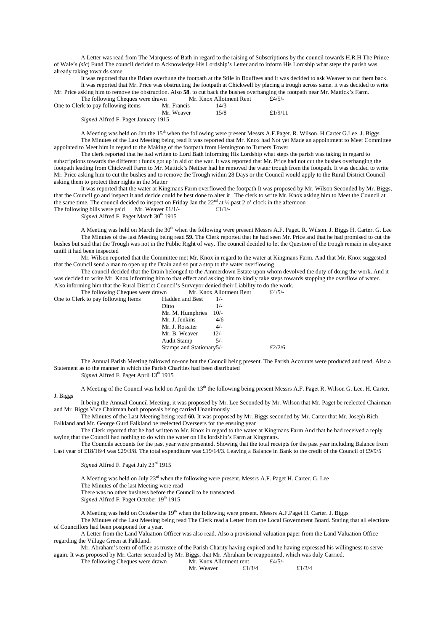A Letter was read from The Marquess of Bath in regard to the raising of Subscriptions by the council towards H.R.H The Prince of Wale's *(sic*) Fund The council decided to Acknowledge His Lordship's Letter and to inform His Lordship what steps the parish was already taking towards same.

It was reported that the Briars overhung the footpath at the Stile in Bouffees and it was decided to ask Weaver to cut them back. It was reported that Mr. Price was obstructing the footpath at Chickwell by placing a trough across same. it was decided to write Mr. Price asking him to remove the obstruction. Also **58**. to cut back the bushes overhanging the footpath near Mr. Mattick's Farm.<br>The following Chaques ware drawn. Mr. Knox Allotmant Pant.  $f_A/5/2$ The following Cheques were drawn

| The following cheques were drawn           |             | <u>mi anda modificium in</u> | $\sim$ T/ $\sim$ $\prime$ |
|--------------------------------------------|-------------|------------------------------|---------------------------|
| One to Clerk to pay following items        | Mr. Francis | 14/3                         |                           |
|                                            | Mr. Weaver  | 15/8                         | £ $1/9/11$                |
| <i>Signed</i> Alfred F. Paget January 1915 |             |                              |                           |

A Meeting was held on Jan the  $15<sup>th</sup>$  when the following were present Messrs A.F.Paget. R. Wilson. H.Carter G.Lee. J. Biggs The Minutes of the Last Meeting being read It was reported that Mr. Knox had Not yet Made an appointment to Meet Committee appointed to Meet him in regard to the Making of the footpath from Hemington to Turners Tower

The clerk reported that he had written to Lord Bath informing His Lordship what steps the parish was taking in regard to subscriptions towards the different t funds got up in aid of the war. It was reported that Mr. Price had not cut the bushes overhanging the footpath leading from Chickwell Farm to Mr. Mattick's Neither had he removed the water trough from the footpath. It was decided to write Mr. Price asking him to cut the bushes and to remove the Trough within 28 Days or the Council would apply to the Rural District Council asking them to protect their rights in the Matter

It was reported that the water at Kingmans Farm overflowed the footpath It was proposed by Mr. Wilson Seconded by Mr. Biggs, that the Council go and inspect it and decide could be best done to alter it . The clerk to write Mr. Knox asking him to Meet the Council at the same time. The council decided to inspect on Friday Jan the  $22<sup>nd</sup>$  at  $\frac{1}{2}$  past 2 o' clock in the afternoon The following bills were paid Mr. Weaver £1/1/-  $\pounds 1/1$ /-

Signed Alfred F. Paget March 30<sup>th</sup> 1915

A Meeting was held on March the 30<sup>th</sup> when the following were present Messrs A.F. Paget. R. Wilson. J. Biggs H. Carter. G. Lee The Minutes of the last Meeting being read **59.** The Clerk reported that he had seen Mr. Price and that he had promised to cut the bushes but said that the Trough was not in the Public Right of way. The council decided to let the Question of the trough remain in abeyance untill it had been inspected

Mr. Wilson reported that the Committee met Mr. Knox in regard to the water at Kingmans Farm. And that Mr. Knox suggested that the Council send a man to open up the Drain and so put a stop to the water overflowing

The council decided that the Drain belonged to the Ammerdown Estate upon whom devolved the duty of doing the work. And it was decided to write Mr. Knox informing him to that effect and asking him to kindly take steps towards stopping the overflow of water. Also informing him that the Rural District Council's Surveyor denied their Liability to do the work.

The following Cheques were drawn Mr. Knox Allotment Rent  $£4/5/-\text{rk}$  to pay following Items Hadden and Best  $1/-$ One to Clerk to pay following Items Hadden and Best 1/-Ditto 1/-

| Ditto                    | $1/-$  |           |
|--------------------------|--------|-----------|
| Mr. M. Humphries 10/-    |        |           |
| Mr. J. Jenkins           | 4/6    |           |
| Mr. J. Rossiter          | $4/-$  |           |
| Mr. B. Weaver            | $12/-$ |           |
| Audit Stamp              | $5/-$  |           |
| Stamps and Stationary5/- |        | £ $2/2/6$ |

The Annual Parish Meeting followed no-one but the Council being present. The Parish Accounts were produced and read. Also a Statement as to the manner in which the Parish Charities had been distributed

*Signed* Alfred F. Paget April 13<sup>th</sup> 1915

A Meeting of the Council was held on April the 13<sup>th</sup> the following being present Messrs A.F. Paget R. Wilson G. Lee. H. Carter. J. Biggs

It being the Annual Council Meeting, it was proposed by Mr. Lee Seconded by Mr. Wilson that Mr. Paget be reelected Chairman and Mr. Biggs Vice Chairman both proposals being carried Unanimously

The Minutes of the Last Meeting being read **60.** It was proposed by Mr. Biggs seconded by Mr. Carter that Mr. Joseph Rich Falkland and Mr. George Gurd Falkland be reelected Overseers for the ensuing year

The Clerk reported that he had written to Mr. Knox in regard to the water at Kingmans Farm And that he had received a reply saying that the Council had nothing to do with the water on His lordship's Farm at Kingmans.

The Councils accounts for the past year were presented. Showing that the total receipts for the past year including Balance from Last year of £18/16/4 was £29/3/8. The total expenditure was £19/14/3. Leaving a Balance in Bank to the credit of the Council of £9/9/5

*Signed* Alfred F. Paget July 23rd 1915

A Meeting was held on July  $23<sup>rd</sup>$  when the following were present. Messrs A.F. Paget H. Carter. G. Lee The Minutes of the last Meeting were read

There was no other business before the Council to be transacted.

*Signed* Alfred F. Paget October 19<sup>th</sup> 1915

A Meeting was held on October the 19<sup>th</sup> when the following were present. Messrs A.F.Paget H. Carter. J. Biggs

The Minutes of the Last Meeting being read The Clerk read a Letter from the Local Government Board. Stating that all elections of Councillors had been postponed for a year.

A Letter from the Land Valuation Officer was also read. Also a provisional valuation paper from the Land Valuation Office regarding the Village Green at Falkland.

Mr. Abraham's term of office as trustee of the Parish Charity having expired and he having expressed his willingness to serve again. It was proposed by Mr. Carter seconded by Mr. Biggs, that Mr. Abraham be reappointed, which was duly Carried.<br>The following Cheques were drawn Mr. Knox Allotment rent £4/5/-

The following Cheques were drawn Mr. Knox Allotment rent Mr. Weaver  $\frac{\text{Mr. Knox Algorithm}}{4.1/3/4}$ 

Mr. Weaver  $\text{£}1/3/4$   $\text{£}1/3/4$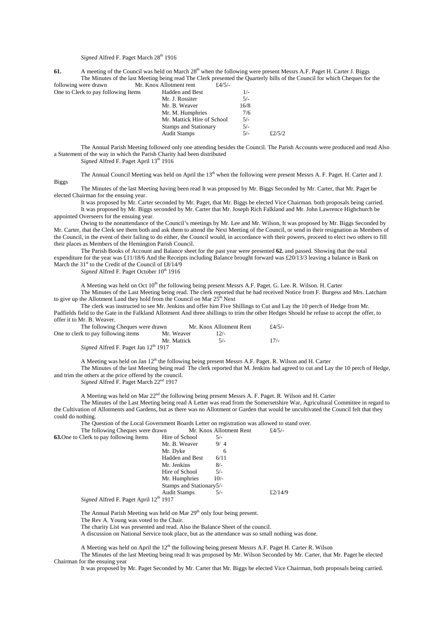## *Signed* Alfred F. Paget March 28<sup>th</sup> 1916

**61.** A meeting of the Council was held on March 28<sup>th</sup> when the following were present Messrs A.F. Paget H. Carter J. Biggs The Minutes of the last Meeting being read The Clerk presented the Quarterly bills of the Council for which Cheques for the were drawn. Mr. Knox Allotment rent  $f_4/5/2$ following were drawn Mr. Knox Allotment rent

| One to Clerk to pay following Items | Hadden and Best              | $1/-$ |           |
|-------------------------------------|------------------------------|-------|-----------|
|                                     | Mr. J. Rossiter              | $5/-$ |           |
|                                     | Mr. B. Weaver                | 16/8  |           |
|                                     | Mr. M. Humphries             | 7/6   |           |
|                                     | Mr. Mattick Hire of School   | $5/-$ |           |
|                                     | <b>Stamps and Stationary</b> | 5/-   |           |
|                                     | <b>Audit Stamps</b>          | $5/-$ | £ $2/5/2$ |
|                                     |                              |       |           |

The Annual Parish Meeting followed only one attending besides the Council. The Parish Accounts were produced and read Also a Statement of the way in which the Parish Charity had been distributed

*Signed* Alfred F. Paget April 13<sup>th</sup> 1916

Biggs

The Annual Council Meeting was held on April the 13<sup>th</sup> when the following were present Messrs A. F. Paget. H. Carter and J.

The Minutes of the last Meeting having been read It was proposed by Mr. Biggs Seconded by Mr. Carter, that Mr. Paget be elected Chairman for the ensuing year.

It was proposed by Mr. Carter seconded by Mr. Paget, that Mr. Biggs be elected Vice Chairman. both proposals being carried. It was proposed by Mr. Biggs seconded by Mr. Carter that Mr. Joseph Rich Falkland and Mr. John Lawrence Highchurch be appointed Overseers for the ensuing year.

Owing to the nonattendance of the Council's meetings by Mr. Lee and Mr. Wilson, It was proposed by Mr. Biggs Seconded by Mr. Carter, that the Clerk see them both and ask them to attend the Next Meeting of the Council, or send in their resignation as Members of the Council, in the event of their failing to do either, the Council would, in accordance with their powers, proceed to elect two others to fill their places as Members of the Hemington Parish Council.

The Parish Books of Account and Balance sheet for the past year were presented **62.** and passed. Showing that the total expenditure for the year was £11/18/6 And the Receipts including Balance brought forward was £20/13/3 leaving a balance in Bank on March the 31<sup>st</sup> to the Credit of the Council of  $\text{\pounds}8/14/9$ 

Signed Alfred F. Paget October 10<sup>th</sup> 1916

A Meeting was held on Oct  $10^{\text{th}}$  the following being present Messrs A.F. Paget. G. Lee. R. Wilson. H. Carter

The Minutes of the Last Meeting being read. The clerk reported that he had received Notice from F. Burgess and Mrs. Latcham to give up the Allotment Land they hold from the Council on Mar  $25<sup>th</sup>$  Next

The clerk was instructed to see Mr. Jenkins and offer him Five Shillings to Cut and Lay the 10 perch of Hedge from Mr. Padfields field to the Gate in the Falkland Allotment And three shillings to trim the other Hedges Should he refuse to accept the offer, to offer it to Mr. B. Weaver.

| The following Cheques were drawn                        |             | Mr. Knox Allotment Rent | f4/5/ |
|---------------------------------------------------------|-------------|-------------------------|-------|
| One to clerk to pay following items                     | Mr. Weaver  | 12/2                    |       |
|                                                         | Mr. Mattick | $5/-$                   | 17/2  |
| <i>Signed</i> Alfred F. Paget Jan 12 <sup>th</sup> 1917 |             |                         |       |

A Meeting was held on Jan 12<sup>th</sup> the following being present Messrs A.F. Paget. R. Wilson and H. Carter

The Minutes of the last Meeting being read The clerk reported that M. Jenkins had agreed to cut and Lay the 10 perch of Hedge, and trim the others at the price offered by the council.

*Signed* Alfred F. Paget March 22<sup>nd</sup> 1917

A Meeting was held on Mar 22nd the following being present Messrs A. F. Paget. R. Wilson and H. Carter

The Minutes of the Last Meeting being read A Letter was read from the Somersetshire War, Agricultural Committee in regard to the Cultivation of Allotments and Gardens, but as there was no Allotment or Garden that would be uncultivated the Council felt that they could do nothing.

The Question of the Local Government Boards Letter on registration was allowed to stand over.<br>The following Cheques were drawn Mr. Knox Allotment Rent  $f4/5/$ -

The following Cheques were drawn

| <b>63.</b> One to Clerk to pay following Items        | Hire of School           | $5/-$  |            |
|-------------------------------------------------------|--------------------------|--------|------------|
|                                                       | Mr. B. Weaver            | 9/4    |            |
|                                                       | Mr. Dyke                 | 6      |            |
|                                                       | <b>Hadden and Best</b>   | 6/11   |            |
|                                                       | Mr. Jenkins              | $8/-$  |            |
|                                                       | Hire of School           | $5/-$  |            |
|                                                       | Mr. Humphries            | $10/-$ |            |
|                                                       | Stamps and Stationary5/- |        |            |
|                                                       | <b>Audit Stamps</b>      | $5/-$  | £ $2/14/9$ |
| $1.10 \pm 0.02$ $1.1 \pm 0.1$ $1.1 \pm 0.1$<br>$\sim$ |                          |        |            |

*Signed* Alfred F. Paget April 12<sup>th</sup> 1917

The Annual Parish Meeting was held on Mar 29<sup>th</sup> only four being present.

The Rev A. Young was voted to the Chair.

The charity List was presented and read. Also the Balance Sheet of the council.

A discussion on National Service took place, but as the attendance was so small nothing was done.

A Meeting was held on April the  $12<sup>th</sup>$  the following being present Messrs A.F. Paget H. Carter R. Wilson

The Minutes of the last Meeting being read It was proposed by Mr. Wilson Seconded by Mr. Carter, that Mr. Paget be elected Chairman for the ensuing year

It was proposed by Mr. Paget Seconded by Mr. Carter that Mr. Biggs be elected Vice Chairman, both proposals being carried.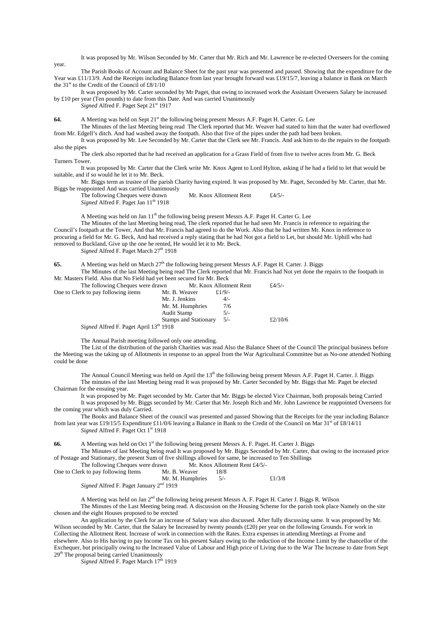It was proposed by Mr. Wilson Seconded by Mr. Carter that Mr. Rich and Mr. Lawrence be re-elected Overseers for the coming

year. The Parish Books of Account and Balance Sheet for the past year was presented and passed. Showing that the expenditure for the Year was £11/13/9. And the Receipts including Balance from last year brought forward was £19/15/7, leaving a balance in Bank on March the 31<sup>st</sup> to the Credit of the Council of  $£8/1/10$ 

It was proposed by Mr. Carter seconded by Mr Paget, that owing to increased work the Assistant Overseers Salary be increased by £10 per year (Ten pounds) to date from this Date. And was carried Unanimously

*Signed* Alfred F. Paget Sept 21st 1917

**64.** A Meeting was held on Sept 21st the following being present Messrs A.F. Paget H. Carter. G. Lee

The Minutes of the last Meeting being read The Clerk reported that Mr. Weaver had stated to him that the water had overflowed from Mr. Edgell's ditch. And had washed away the footpath. Also that five of the pipes under the path had been broken.

It was proposed by Mr. Lee Seconded by Mr. Carter that the Clerk see Mr. Francis. And ask him to do the repairs to the footpath also the pipes

The clerk also reported that he had received an application for a Grass Field of from five to twelve acres from Mr. G. Beck Turners Tower.

It was proposed by Mr. Carter that the Clerk write Mr. Knox Agent to Lord Hylton, asking if he had a field to let that would be suitable, and if so would he let it to Mr. Beck.

Mr. Biggs term as trustee of the parish Charity having expired. It was proposed by Mr. Paget, Seconded by Mr. Carter, that Mr. Biggs be reappointed And was carried Unanimously

The following Cheques were drawn Mr. Knox Allotment Rent £4/5/-*Signed* Alfred F. Paget Jan 11<sup>th</sup> 1918

A Meeting was held on Jan  $11<sup>th</sup>$  the following being present Messrs A.F. Paget H. Carter G. Lee

The Minutes of the last Meeting being read, The clerk reported that he had seen Mr. Francis in reference to repairing the Council's footpath at the Tower, And that Mr. Francis had agreed to do the Work. Also that he had written Mr. Knox in reference to procuring a field for Mr. G. Beck, And had received a reply stating that he had Not got a field to Let, but should Mr. Uphill who had removed to Buckland, Give up the one he rented, He would let it to Mr. Beck.

Signed Alfred F. Paget March 27<sup>th</sup> 1918

65. A Meeting was held on March 27<sup>th</sup> the following being present Messrs A.F. Paget H. Carter. J. Biggs The Minutes of the last Meeting being read The Clerk reported that Mr. Francis had Not yet done the repairs to the footpath in

Mr. Masters Field. Also that No Field had yet been secured for Mr. Beck The following Cheques were drawn Mr. Knox Allotment Rent £4/5/-One to Clerk to

| One to Clerk to pay following items    | Mr. B. Weaver                | £ $1/9/$ - |            |
|----------------------------------------|------------------------------|------------|------------|
|                                        | Mr. J. Jenkins               | $4/-$      |            |
|                                        | Mr. M. Humphries             | 7/6        |            |
|                                        | Audit Stamp                  | $5/-$      |            |
|                                        | <b>Stamps and Stationary</b> | $5/-$      | £ $2/10/6$ |
| Signed Alfred F. Paget April 13th 1918 |                              |            |            |

The Annual Parish meeting followed only one attending.

The List of the distribution of the parish Charities was read Also the Balance Sheet of the Council The principal business before the Meeting was the taking up of Allotments in response to an appeal from the War Agricultural Committee but as No-one attended Nothing could be done

The Annual Council Meeting was held on April the 13<sup>th</sup> the following being present Messrs A.F. Paget H. Carter. J. Biggs The minutes of the last Meeting being read It was proposed by Mr. Carter Seconded by Mr. Biggs that Mr. Paget be elected

Chairman for the ensuing year.

It was proposed by Mr. Paget seconded by Mr. Carter that Mr. Biggs be elected Vice Chairman, both proposals being Carried It was proposed by Mr. Biggs seconded by Mr. Carter that Mr. Joseph Rich and Mr. John Lawrence be reappointed Overseers for the coming year which was duly Carried.

The Books and Balance Sheet of the council was presented and passed Showing that the Receipts for the year including Balance from last year was £19/15/5 Expenditure £11/0/6 leaving a Balance in Bank to the Credit of the Council on Mar  $31<sup>st</sup>$  of £8/14/11 Signed Alfred F. Paget Oct 1<sup>st</sup> 1918

66. A Meeting was held on Oct 1<sup>st</sup> the following being present Messrs A. F. Paget. H. Carter J. Biggs The Minutes of last Meeting being read It was proposed by Mr. Biggs Seconded by Mr. Carter, that owing to the increased price of Postage and Stationary, the present Sum of five shillings allowed for same, be increased to Ten Shillings

The following Cheques were drawn Mr. Knox Allotment Rent £4/5/-One to Clerk to pay following Items Mr. B. Weaver 18/8

| One to Clerk to pay following fields                | IVII. D. Weavel  | 10/0 |           |
|-----------------------------------------------------|------------------|------|-----------|
|                                                     | Mr. M. Humphries |      | £ $1/3/8$ |
| Signed Alfred F. Paget January 2 <sup>nd</sup> 1919 |                  |      |           |

A Meeting was held on Jan 2<sup>nd</sup> the following being present Messrs A. F. Paget H. Carter J. Biggs R. Wilson The Minutes of the Last Meeting being read. A discussion on the Housing Scheme for the parish took place Namely on the site chosen and the eight Houses proposed to be erected

An application by the Clerk for an increase of Salary was also discussed. After fully discussing same. It was proposed by Mr. Wilson seconded by Mr. Carter, that the Salary be Increased by twenty pounds (£20) per year on the following Grounds. For work in Collecting the Allotment Rent. Increase of work in connection with the Rates. Extra expenses in attending Meetings at Frome and elsewhere. Also to His having to pay Income Tax on his present Salary owing to the reduction of the Income Limit by the chancellor of the Exchequer, but principally owing to the Increased Value of Labour and High price of Living due to the War The Increase to date from Sept 29<sup>th</sup> The proposal being carried Unanimously

Signed Alfred F. Paget March 17th 1919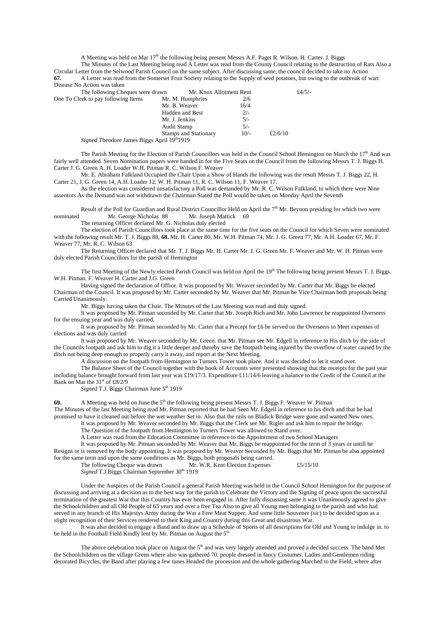A Meeting was held on Mar 17<sup>th</sup> the following being present Messrs A.F. Paget R. Wilson. H. Carter. J. Biggs

The Minutes of the Last Meeting being read A Letter was read from the County Council relating to the destruction of Rats Also a Circular Letter from the Selwood Parish Council on the same subject. After discussing same, the council decided to take no Action **67.** A Letter was read from the Somerset Fruit Society relating to the Supply of seed potatoes, but owing to the outbreak of wart Disease No Action was taken

| The following Cheques were drawn                              | Mr. Knox Allotment Rent      |        |         | £4/5/- |
|---------------------------------------------------------------|------------------------------|--------|---------|--------|
| One To Clerk to pay following Items                           | Mr. M. Humphries             | 2/6    |         |        |
|                                                               | Mr. B. Weaver                | 16/4   |         |        |
|                                                               | <b>Hadden and Best</b>       | $2/-$  |         |        |
|                                                               | Mr. J. Jenkins               | $5/-$  |         |        |
|                                                               | Audit Stamp                  | $5/-$  |         |        |
|                                                               | <b>Stamps and Stationary</b> | $10/-$ | £2/0/10 |        |
| <i>Signed</i> Theodore James Biggs April 19th <sub>1919</sub> |                              |        |         |        |

The Parish Meeting for the Election of Parish Councillors was held in the Council School Hemington on March the  $17<sup>th</sup>$  And was fairly well attended. Seven Nomination papers were handed in for the Five Seats on the Council from the following Messrs T. J. Biggs H. Carter J. G. Green A. H. Loader W.H. Pitman R. C. Wilson F. Weaver

Mr. E. Abraham Falkland Occupied the Chair Upon a Show of Hands the following was the result Messrs T. J. Biggs 22, H. Carter 21, J. G. Green 14, A.H. Loader 12, W. H. Pitman 11, R. C. Wilson 11, F. Weaver 17.

As the election was considered unsatisfactory a Poll was demanded by Mr. R. C. Wilson Falkland, to which there were Nine assentors As the Demand was not withdrawn the Chairman Stated the Poll would be taken on Monday April the Seventh

Result of the Poll for Guardian and Rural District Councillor Held on April the 7<sup>th</sup> Mr. Beynon presiding for which two were nominated Mr. George Nicholas 88 Mr. Joseph Mattick 69

The returning Officer declared Mr. G. Nicholas duly elected

The election of Parish Councillors took place at the same time for the five seats on the Council for which Seven were nominated with the following result Mr. T. J. Biggs 88, **68.** Mr. H. Carter 80, Mr. W.H. Pitman 74, Mr. J. G. Green 77, Mr. A.H. Loader 67, Mr. F. Weaver 77, Mr. R. C. Wilson 63

The Returning Officer declared that Mr. T. J. Biggs Mr. H. Carter Mr. J. G. Green Mr. F. Weaver and Mr. W. H. Pitman were duly elected Parish Councillors for the parish of Hemington

The first Meeting of the Newly elected Parish Council was held on April the 19<sup>th</sup> The following being present Messrs T. J. Biggs. W.H. Pitman. F. Weaver H. Carter and J.G. Green

Having signed the declaration of Office. It was proposed by Mr. Weaver seconded by Mr. Carter that Mr. Biggs be elected Chairman of the Council. It was proposed by Mr. Carter seconded by Mr. Weaver that Mr. Pitman be Vice Chairman both proposals being Carried Unanimously.

Mr. Biggs having taken the Chair. The Minutes of the Last Meeting was read and duly signed.

It was proposed by Mr. Pitman seconded by Mr. Carter that Mr. Joseph Rich and Mr. John Lawrence be reappointed Overseers for the ensuing year and was duly carried.

It was proposed by Mr. Pitman seconded by Mr. Carter that a Precept for £6 be served on the Overseers to Meet expenses of elections and was duly carried

It was proposed by Mr. Weaver seconded by Mr. Green. that Mr. Pitman see Mr. Edgell in reference to His ditch by the side of the Councils footpath and ask him to dig it a little deeper and thereby save the footpath being injured by the overflow of water caused by the ditch not being deep enough to properly carry it away, and report at the Next Meeting.

A discussion on the footpath from Hemington to Turners Tower took place. And it was decided to let it stand over.

The Balance Sheet of the Council together with the book of Accounts were presented showing that the receipts for the past year including balance brought forward from last year was £19/17/3. Expenditure £11/14/6 leaving a balance to the Credit of the Council at the Bank on Mar the  $31<sup>st</sup>$  of £8/2/9

Signed T.J. Biggs Chairman June 5<sup>th</sup> 1919

**69.** A Meeting was held on June the 5<sup>th</sup> the following being present Messrs T. J. Biggs F. Weaver W. Pitman The Minutes of the last Meeting being read Mr. Pitman reported that he had Seen Mr. Edgell in reference to his ditch and that he had

promised to have it cleaned out before the wet weather Set in. Also that the rails on Bladick Bridge were gone and wanted New ones. It was proposed by Mr. Weaver seconded by Mr. Biggs that the Clerk see Mr. Rigler and ask him to repair the bridge.

The Question of the footpath from Hemington to Turners Tower was allowed to Stand over.

A Letter was read from the Education Committee in reference to the Appointment of two School Managers

It was proposed by Mr. Pitman seconded by Mr. Weaver that Mr. Biggs be reappointed for the term of 3 years or untill he Resigns or is removed by the body appointing. It was proposed by Mr. Weaver Seconded by Mr. Biggs that Mr. Pitman be also appointed for the same term and upon the same conditions as Mr. Biggs, both proposals being carried.

| The following Cheque was drawn                                   | Mr. W.R. Kent Election Expenses | £5/15/10 |
|------------------------------------------------------------------|---------------------------------|----------|
| <i>Signed</i> T.J.Biggs Chairman September 30 <sup>th</sup> 1919 |                                 |          |

Under the Auspices of the Parish Council a general Parish Meeting was held in the Council School Hemington for the purpose of discussing and arriving at a decision as to the best way for the parish to Celebrate the Victory and the Signing of peace upon the successful termination of the greatest War that this Country has ever been engaged in. After fully discussing same it was Unanimously agreed to give the Schoolchildren and all Old People of 65 years and over a free Tea Also to give all Young men belonging to the parish and who had served in any branch of His Majestys Army during the War a Free Meat Supper. And some little Souvener *(sic*) to be decided upon as a slight recognition of their Services rendered to their King and Country during this Great and disastrous War.

It was also decided to engage a Band and to draw up a Schedule of Sports of all descriptions for Old and Young to indulge in. to be held in the Football Field Kindly lent by Mr. Pitman on August the  $5<sup>th</sup>$ 

The above celebration took place on August the  $5<sup>th</sup>$  and was very largely attended and proved a decided success. The band Met the Schoolchildren on the village Green where also was gathered 70. people dressed in fancy Costumes. Ladies and Gentlemen riding decorated Bicycles, the Band after playing a few tunes Headed the procession and the whole gathering Marched to the Field, where after